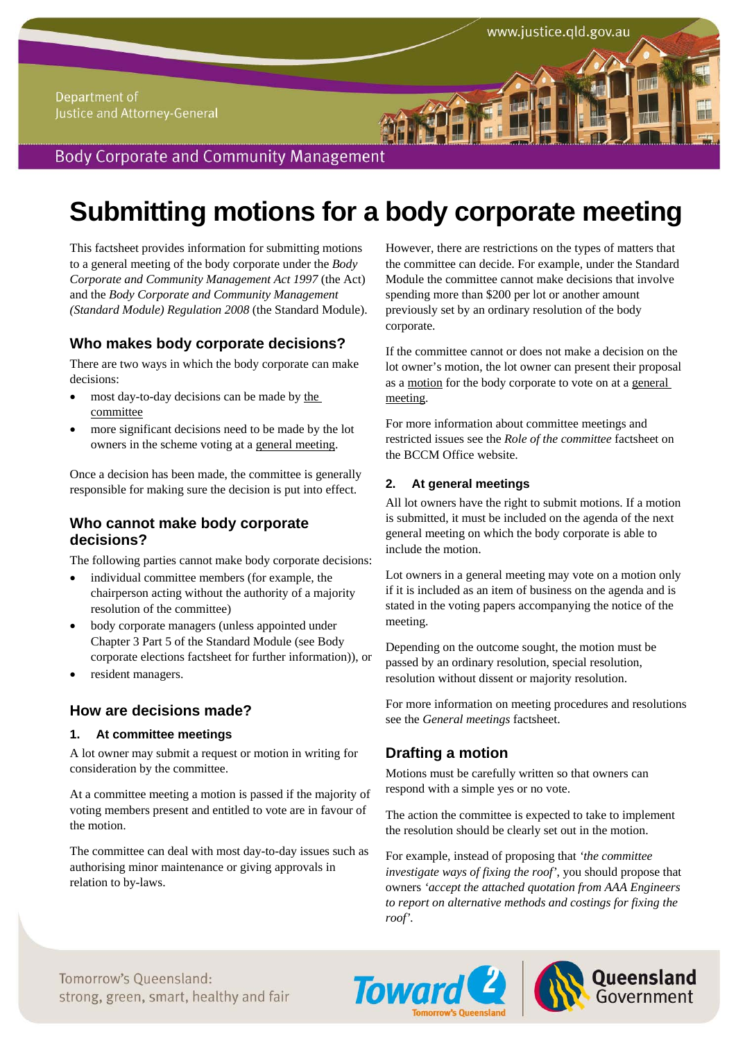# **Submitting motions for a body corporate meeting**

This factsheet provides information for submitting motions to a general meeting of the body corporate under the *Body Corporate and Community Management Act 1997* (the Act) and the *Body Corporate and Community Management (Standard Module) Regulation 2008* (the Standard Module).

## **Who makes body corporate decisions?**

There are two ways in which the body corporate can make decisions:

- most day-to-day decisions can be made by the committee
- more significant decisions need to be made by the lot owners in the scheme voting at a general meeting.

Once a decision has been made, the committee is generally responsible for making sure the decision is put into effect.

### **Who cannot make body corporate decisions?**

The following parties cannot make body corporate decisions:

- individual committee members (for example, the chairperson acting without the authority of a majority resolution of the committee)
- body corporate managers (unless appointed under Chapter 3 Part 5 of the Standard Module (see Body corporate elections factsheet for further information)), or
- resident managers.

### **How are decisions made?**

#### **1. At committee meetings**

A lot owner may submit a request or motion in writing for consideration by the committee.

At a committee meeting a motion is passed if the majority of voting members present and entitled to vote are in favour of the motion.

The committee can deal with most day-to-day issues such as authorising minor maintenance or giving approvals in relation to by-laws.

However, there are restrictions on the types of matters that the committee can decide. For example, under the Standard Module the committee cannot make decisions that involve spending more than \$200 per lot or another amount previously set by an ordinary resolution of the body corporate.

www.justice.qld.gov.au

If the committee cannot or does not make a decision on the lot owner's motion, the lot owner can present their proposal as a motion for the body corporate to vote on at a general meeting.

For more information about committee meetings and restricted issues see the *Role of the committee* factsheet on the BCCM Office website.

#### **2. At general meetings**

All lot owners have the right to submit motions. If a motion is submitted, it must be included on the agenda of the next general meeting on which the body corporate is able to include the motion.

Lot owners in a general meeting may vote on a motion only if it is included as an item of business on the agenda and is stated in the voting papers accompanying the notice of the meeting.

Depending on the outcome sought, the motion must be passed by an ordinary resolution, special resolution, resolution without dissent or majority resolution.

For more information on meeting procedures and resolutions see the *General meetings* factsheet.

## **Drafting a motion**

Motions must be carefully written so that owners can respond with a simple yes or no vote.

The action the committee is expected to take to implement the resolution should be clearly set out in the motion.

For example, instead of proposing that *'the committee investigate ways of fixing the roof'*, you should propose that owners *'accept the attached quotation from AAA Engineers to report on alternative methods and costings for fixing the roof'.*

Tomorrow's Oueensland: *Strong, green, smart, healthy and fair* 



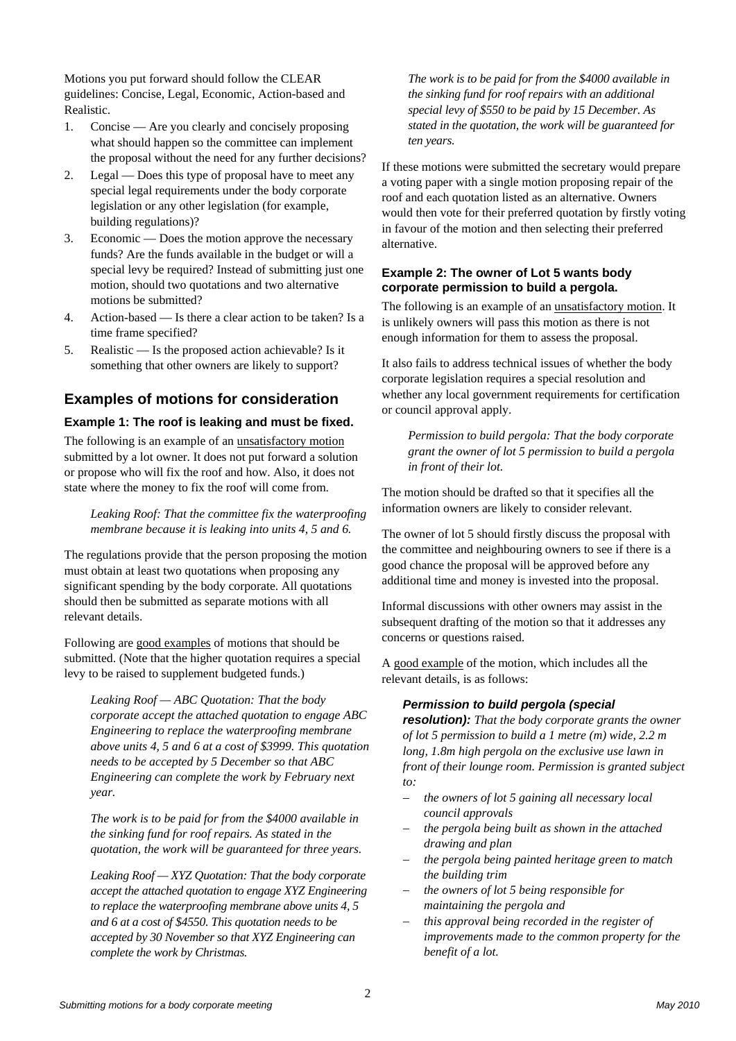Motions you put forward should follow the CLEAR guidelines: Concise, Legal, Economic, Action-based and Realistic.

- 1. Concise Are you clearly and concisely proposing what should happen so the committee can implement the proposal without the need for any further decisions?
- 2. Legal Does this type of proposal have to meet any special legal requirements under the body corporate legislation or any other legislation (for example, building regulations)?
- 3. Economic Does the motion approve the necessary funds? Are the funds available in the budget or will a special levy be required? Instead of submitting just one motion, should two quotations and two alternative motions be submitted?
- 4. Action-based Is there a clear action to be taken? Is a time frame specified?
- 5. Realistic Is the proposed action achievable? Is it something that other owners are likely to support?

## **Examples of motions for consideration**

#### **Example 1: The roof is leaking and must be fixed.**

The following is an example of an unsatisfactory motion submitted by a lot owner. It does not put forward a solution or propose who will fix the roof and how. Also, it does not state where the money to fix the roof will come from.

*Leaking Roof: That the committee fix the waterproofing membrane because it is leaking into units 4, 5 and 6.* 

The regulations provide that the person proposing the motion must obtain at least two quotations when proposing any significant spending by the body corporate. All quotations should then be submitted as separate motions with all relevant details.

Following are good examples of motions that should be submitted. (Note that the higher quotation requires a special levy to be raised to supplement budgeted funds.)

*Leaking Roof — ABC Quotation: That the body corporate accept the attached quotation to engage ABC Engineering to replace the waterproofing membrane above units 4, 5 and 6 at a cost of \$3999. This quotation needs to be accepted by 5 December so that ABC Engineering can complete the work by February next year.* 

*The work is to be paid for from the \$4000 available in the sinking fund for roof repairs. As stated in the quotation, the work will be guaranteed for three years.* 

*Leaking Roof — XYZ Quotation: That the body corporate accept the attached quotation to engage XYZ Engineering to replace the waterproofing membrane above units 4, 5 and 6 at a cost of \$4550. This quotation needs to be accepted by 30 November so that XYZ Engineering can complete the work by Christmas.* 

*The work is to be paid for from the \$4000 available in the sinking fund for roof repairs with an additional special levy of \$550 to be paid by 15 December. As stated in the quotation, the work will be guaranteed for ten years.* 

If these motions were submitted the secretary would prepare a voting paper with a single motion proposing repair of the roof and each quotation listed as an alternative. Owners would then vote for their preferred quotation by firstly voting in favour of the motion and then selecting their preferred alternative.

#### **Example 2: The owner of Lot 5 wants body corporate permission to build a pergola.**

The following is an example of an unsatisfactory motion. It is unlikely owners will pass this motion as there is not enough information for them to assess the proposal.

It also fails to address technical issues of whether the body corporate legislation requires a special resolution and whether any local government requirements for certification or council approval apply.

*Permission to build pergola: That the body corporate grant the owner of lot 5 permission to build a pergola in front of their lot.* 

The motion should be drafted so that it specifies all the information owners are likely to consider relevant.

The owner of lot 5 should firstly discuss the proposal with the committee and neighbouring owners to see if there is a good chance the proposal will be approved before any additional time and money is invested into the proposal.

Informal discussions with other owners may assist in the subsequent drafting of the motion so that it addresses any concerns or questions raised.

A good example of the motion, which includes all the relevant details, is as follows:

#### *Permission to build pergola (special*

*resolution): That the body corporate grants the owner of lot 5 permission to build a 1 metre (m) wide, 2.2 m long, 1.8m high pergola on the exclusive use lawn in front of their lounge room. Permission is granted subject to:* 

- *the owners of lot 5 gaining all necessary local council approvals*
- *the pergola being built as shown in the attached drawing and plan*
- *the pergola being painted heritage green to match the building trim*
- *the owners of lot 5 being responsible for maintaining the pergola and*
- *this approval being recorded in the register of improvements made to the common property for the benefit of a lot.*